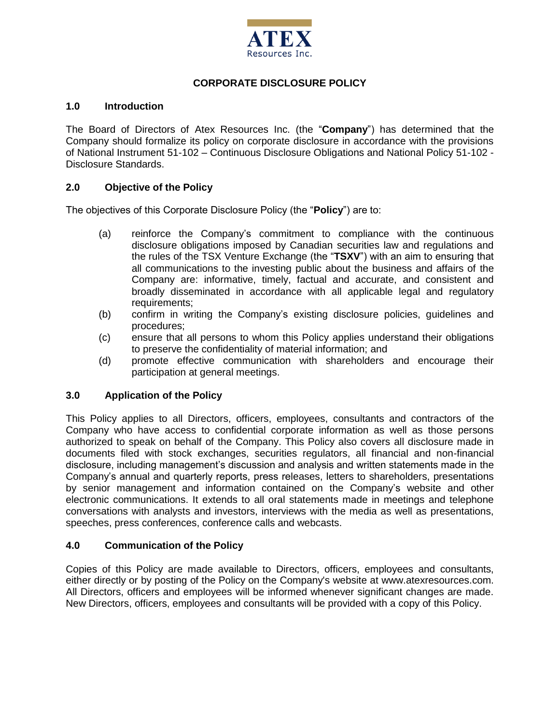

# **CORPORATE DISCLOSURE POLICY**

#### **1.0 Introduction**

The Board of Directors of Atex Resources Inc. (the "**Company**") has determined that the Company should formalize its policy on corporate disclosure in accordance with the provisions of National Instrument 51-102 – Continuous Disclosure Obligations and National Policy 51-102 - Disclosure Standards.

#### **2.0 Objective of the Policy**

The objectives of this Corporate Disclosure Policy (the "**Policy**") are to:

- (a) reinforce the Company's commitment to compliance with the continuous disclosure obligations imposed by Canadian securities law and regulations and the rules of the TSX Venture Exchange (the "**TSXV**") with an aim to ensuring that all communications to the investing public about the business and affairs of the Company are: informative, timely, factual and accurate, and consistent and broadly disseminated in accordance with all applicable legal and regulatory requirements;
- (b) confirm in writing the Company's existing disclosure policies, guidelines and procedures;
- (c) ensure that all persons to whom this Policy applies understand their obligations to preserve the confidentiality of material information; and
- (d) promote effective communication with shareholders and encourage their participation at general meetings.

## **3.0 Application of the Policy**

This Policy applies to all Directors, officers, employees, consultants and contractors of the Company who have access to confidential corporate information as well as those persons authorized to speak on behalf of the Company. This Policy also covers all disclosure made in documents filed with stock exchanges, securities regulators, all financial and non-financial disclosure, including management's discussion and analysis and written statements made in the Company's annual and quarterly reports, press releases, letters to shareholders, presentations by senior management and information contained on the Company's website and other electronic communications. It extends to all oral statements made in meetings and telephone conversations with analysts and investors, interviews with the media as well as presentations, speeches, press conferences, conference calls and webcasts.

#### **4.0 Communication of the Policy**

Copies of this Policy are made available to Directors, officers, employees and consultants, either directly or by posting of the Policy on the Company's website at www.atexresources.com. All Directors, officers and employees will be informed whenever significant changes are made. New Directors, officers, employees and consultants will be provided with a copy of this Policy.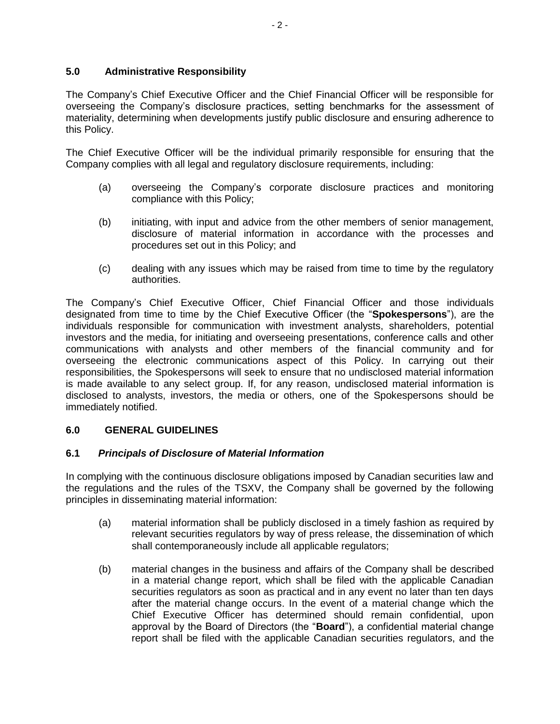# **5.0 Administrative Responsibility**

The Company's Chief Executive Officer and the Chief Financial Officer will be responsible for overseeing the Company's disclosure practices, setting benchmarks for the assessment of materiality, determining when developments justify public disclosure and ensuring adherence to this Policy.

The Chief Executive Officer will be the individual primarily responsible for ensuring that the Company complies with all legal and regulatory disclosure requirements, including:

- (a) overseeing the Company's corporate disclosure practices and monitoring compliance with this Policy;
- (b) initiating, with input and advice from the other members of senior management, disclosure of material information in accordance with the processes and procedures set out in this Policy; and
- (c) dealing with any issues which may be raised from time to time by the regulatory authorities.

The Company's Chief Executive Officer, Chief Financial Officer and those individuals designated from time to time by the Chief Executive Officer (the "**Spokespersons**"), are the individuals responsible for communication with investment analysts, shareholders, potential investors and the media, for initiating and overseeing presentations, conference calls and other communications with analysts and other members of the financial community and for overseeing the electronic communications aspect of this Policy. In carrying out their responsibilities, the Spokespersons will seek to ensure that no undisclosed material information is made available to any select group. If, for any reason, undisclosed material information is disclosed to analysts, investors, the media or others, one of the Spokespersons should be immediately notified.

## **6.0 GENERAL GUIDELINES**

## **6.1** *Principals of Disclosure of Material Information*

In complying with the continuous disclosure obligations imposed by Canadian securities law and the regulations and the rules of the TSXV, the Company shall be governed by the following principles in disseminating material information:

- (a) material information shall be publicly disclosed in a timely fashion as required by relevant securities regulators by way of press release, the dissemination of which shall contemporaneously include all applicable regulators;
- (b) material changes in the business and affairs of the Company shall be described in a material change report, which shall be filed with the applicable Canadian securities regulators as soon as practical and in any event no later than ten days after the material change occurs. In the event of a material change which the Chief Executive Officer has determined should remain confidential, upon approval by the Board of Directors (the "**Board**"), a confidential material change report shall be filed with the applicable Canadian securities regulators, and the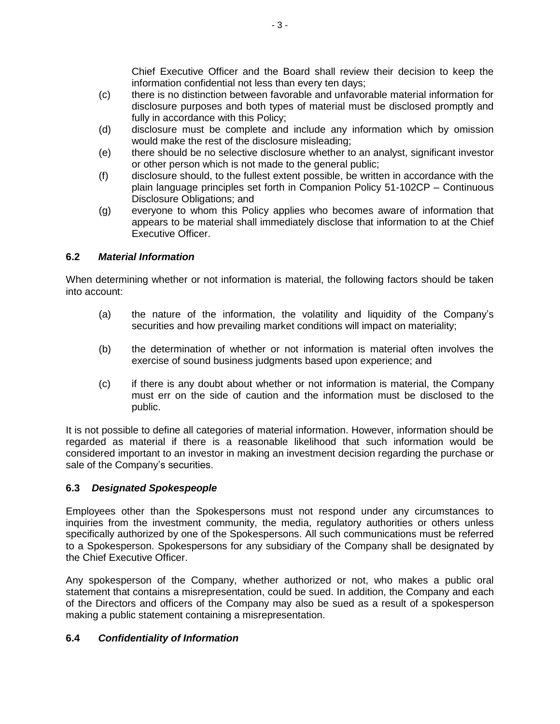Chief Executive Officer and the Board shall review their decision to keep the information confidential not less than every ten days;

- (c) there is no distinction between favorable and unfavorable material information for disclosure purposes and both types of material must be disclosed promptly and fully in accordance with this Policy;
- (d) disclosure must be complete and include any information which by omission would make the rest of the disclosure misleading;
- (e) there should be no selective disclosure whether to an analyst, significant investor or other person which is not made to the general public;
- (f) disclosure should, to the fullest extent possible, be written in accordance with the plain language principles set forth in Companion Policy 51-102CP – Continuous Disclosure Obligations; and
- (g) everyone to whom this Policy applies who becomes aware of information that appears to be material shall immediately disclose that information to at the Chief Executive Officer.

## **6.2** *Material Information*

When determining whether or not information is material, the following factors should be taken into account:

- (a) the nature of the information, the volatility and liquidity of the Company's securities and how prevailing market conditions will impact on materiality;
- (b) the determination of whether or not information is material often involves the exercise of sound business judgments based upon experience; and
- (c) if there is any doubt about whether or not information is material, the Company must err on the side of caution and the information must be disclosed to the public.

It is not possible to define all categories of material information. However, information should be regarded as material if there is a reasonable likelihood that such information would be considered important to an investor in making an investment decision regarding the purchase or sale of the Company's securities.

## **6.3** *Designated Spokespeople*

Employees other than the Spokespersons must not respond under any circumstances to inquiries from the investment community, the media, regulatory authorities or others unless specifically authorized by one of the Spokespersons. All such communications must be referred to a Spokesperson. Spokespersons for any subsidiary of the Company shall be designated by the Chief Executive Officer.

Any spokesperson of the Company, whether authorized or not, who makes a public oral statement that contains a misrepresentation, could be sued. In addition, the Company and each of the Directors and officers of the Company may also be sued as a result of a spokesperson making a public statement containing a misrepresentation.

## **6.4** *Confidentiality of Information*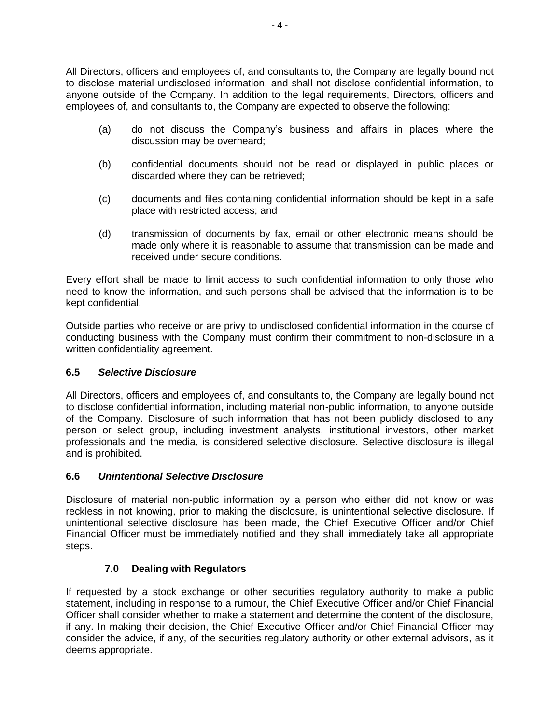All Directors, officers and employees of, and consultants to, the Company are legally bound not to disclose material undisclosed information, and shall not disclose confidential information, to anyone outside of the Company. In addition to the legal requirements, Directors, officers and employees of, and consultants to, the Company are expected to observe the following:

- (a) do not discuss the Company's business and affairs in places where the discussion may be overheard;
- (b) confidential documents should not be read or displayed in public places or discarded where they can be retrieved;
- (c) documents and files containing confidential information should be kept in a safe place with restricted access; and
- (d) transmission of documents by fax, email or other electronic means should be made only where it is reasonable to assume that transmission can be made and received under secure conditions.

Every effort shall be made to limit access to such confidential information to only those who need to know the information, and such persons shall be advised that the information is to be kept confidential.

Outside parties who receive or are privy to undisclosed confidential information in the course of conducting business with the Company must confirm their commitment to non-disclosure in a written confidentiality agreement.

## **6.5** *Selective Disclosure*

All Directors, officers and employees of, and consultants to, the Company are legally bound not to disclose confidential information, including material non-public information, to anyone outside of the Company. Disclosure of such information that has not been publicly disclosed to any person or select group, including investment analysts, institutional investors, other market professionals and the media, is considered selective disclosure. Selective disclosure is illegal and is prohibited.

## **6.6** *Unintentional Selective Disclosure*

Disclosure of material non-public information by a person who either did not know or was reckless in not knowing, prior to making the disclosure, is unintentional selective disclosure. If unintentional selective disclosure has been made, the Chief Executive Officer and/or Chief Financial Officer must be immediately notified and they shall immediately take all appropriate steps.

## **7.0 Dealing with Regulators**

If requested by a stock exchange or other securities regulatory authority to make a public statement, including in response to a rumour, the Chief Executive Officer and/or Chief Financial Officer shall consider whether to make a statement and determine the content of the disclosure, if any. In making their decision, the Chief Executive Officer and/or Chief Financial Officer may consider the advice, if any, of the securities regulatory authority or other external advisors, as it deems appropriate.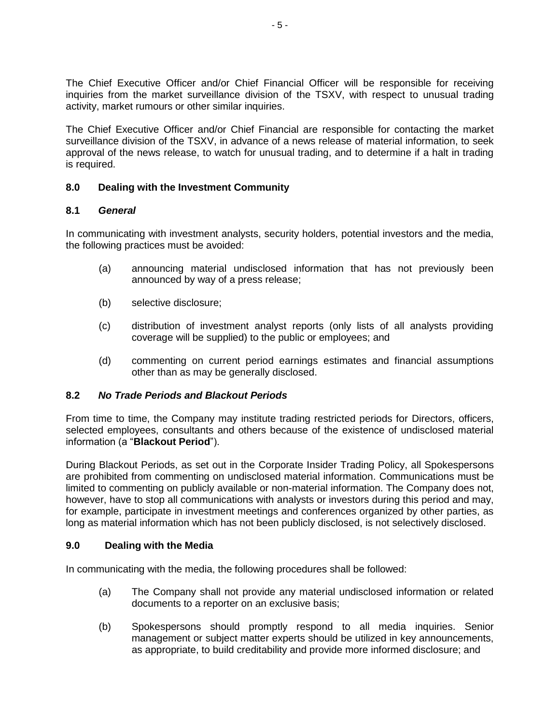The Chief Executive Officer and/or Chief Financial Officer will be responsible for receiving inquiries from the market surveillance division of the TSXV, with respect to unusual trading activity, market rumours or other similar inquiries.

The Chief Executive Officer and/or Chief Financial are responsible for contacting the market surveillance division of the TSXV, in advance of a news release of material information, to seek approval of the news release, to watch for unusual trading, and to determine if a halt in trading is required.

## **8.0 Dealing with the Investment Community**

## **8.1** *General*

In communicating with investment analysts, security holders, potential investors and the media, the following practices must be avoided:

- (a) announcing material undisclosed information that has not previously been announced by way of a press release;
- (b) selective disclosure;
- (c) distribution of investment analyst reports (only lists of all analysts providing coverage will be supplied) to the public or employees; and
- (d) commenting on current period earnings estimates and financial assumptions other than as may be generally disclosed.

## **8.2** *No Trade Periods and Blackout Periods*

From time to time, the Company may institute trading restricted periods for Directors, officers, selected employees, consultants and others because of the existence of undisclosed material information (a "**Blackout Period**").

During Blackout Periods, as set out in the Corporate Insider Trading Policy, all Spokespersons are prohibited from commenting on undisclosed material information. Communications must be limited to commenting on publicly available or non-material information. The Company does not, however, have to stop all communications with analysts or investors during this period and may, for example, participate in investment meetings and conferences organized by other parties, as long as material information which has not been publicly disclosed, is not selectively disclosed.

## **9.0 Dealing with the Media**

In communicating with the media, the following procedures shall be followed:

- (a) The Company shall not provide any material undisclosed information or related documents to a reporter on an exclusive basis;
- (b) Spokespersons should promptly respond to all media inquiries. Senior management or subject matter experts should be utilized in key announcements, as appropriate, to build creditability and provide more informed disclosure; and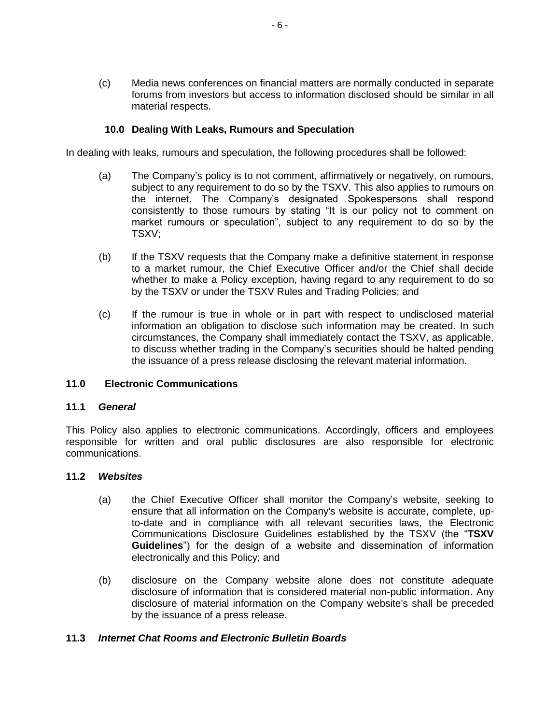(c) Media news conferences on financial matters are normally conducted in separate forums from investors but access to information disclosed should be similar in all material respects.

#### **10.0 Dealing With Leaks, Rumours and Speculation**

In dealing with leaks, rumours and speculation, the following procedures shall be followed:

- (a) The Company's policy is to not comment, affirmatively or negatively, on rumours, subject to any requirement to do so by the TSXV. This also applies to rumours on the internet. The Company's designated Spokespersons shall respond consistently to those rumours by stating "It is our policy not to comment on market rumours or speculation", subject to any requirement to do so by the TSXV;
- (b) If the TSXV requests that the Company make a definitive statement in response to a market rumour, the Chief Executive Officer and/or the Chief shall decide whether to make a Policy exception, having regard to any requirement to do so by the TSXV or under the TSXV Rules and Trading Policies; and
- (c) If the rumour is true in whole or in part with respect to undisclosed material information an obligation to disclose such information may be created. In such circumstances, the Company shall immediately contact the TSXV, as applicable, to discuss whether trading in the Company's securities should be halted pending the issuance of a press release disclosing the relevant material information.

#### **11.0 Electronic Communications**

#### **11.1** *General*

This Policy also applies to electronic communications. Accordingly, officers and employees responsible for written and oral public disclosures are also responsible for electronic communications.

#### **11.2** *Websites*

- (a) the Chief Executive Officer shall monitor the Company's website, seeking to ensure that all information on the Company's website is accurate, complete, upto-date and in compliance with all relevant securities laws, the Electronic Communications Disclosure Guidelines established by the TSXV (the "**TSXV Guidelines**") for the design of a website and dissemination of information electronically and this Policy; and
- (b) disclosure on the Company website alone does not constitute adequate disclosure of information that is considered material non-public information. Any disclosure of material information on the Company website's shall be preceded by the issuance of a press release.

#### **11.3** *Internet Chat Rooms and Electronic Bulletin Boards*